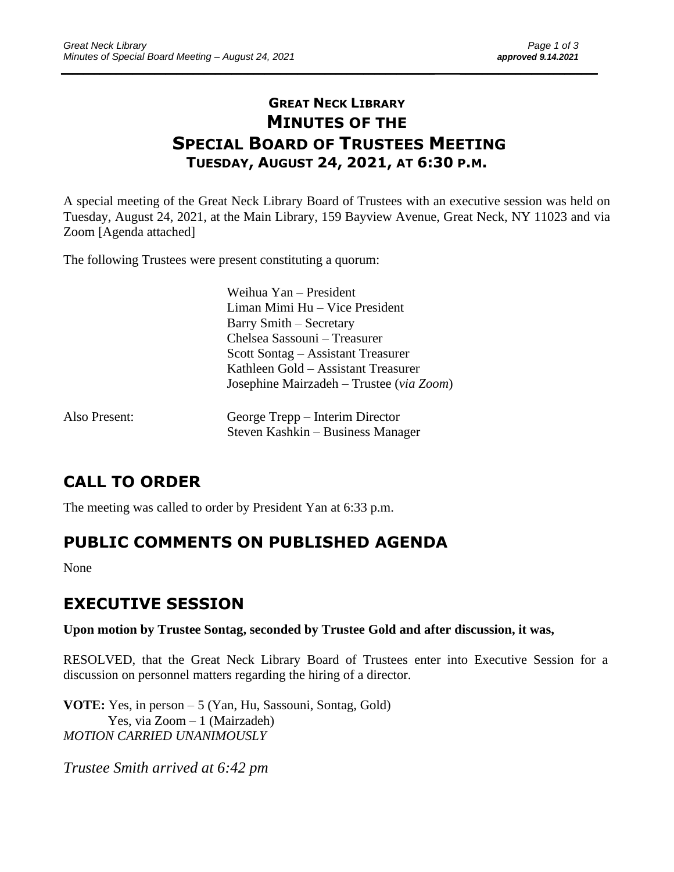### **GREAT NECK LIBRARY MINUTES OF THE SPECIAL BOARD OF TRUSTEES MEETING TUESDAY, AUGUST 24, 2021, AT 6:30 P.M.**

\_\_\_\_\_\_\_\_\_\_\_\_\_\_\_\_\_\_\_\_\_\_\_\_\_\_\_\_\_\_\_\_\_\_\_\_\_\_\_\_\_\_\_\_\_\_\_\_\_\_\_\_\_\_\_\_\_\_\_\_\_\_\_\_\_\_\_\_ \_\_\_\_\_\_\_\_\_\_\_\_\_\_\_\_\_\_\_\_\_\_\_\_\_

A special meeting of the Great Neck Library Board of Trustees with an executive session was held on Tuesday, August 24, 2021, at the Main Library, 159 Bayview Avenue, Great Neck, NY 11023 and via Zoom [Agenda attached]

The following Trustees were present constituting a quorum:

| Weihua Yan – President                   |
|------------------------------------------|
| Liman Mimi Hu - Vice President           |
| Barry Smith – Secretary                  |
| Chelsea Sassouni – Treasurer             |
| Scott Sontag – Assistant Treasurer       |
| Kathleen Gold – Assistant Treasurer      |
| Josephine Mairzadeh - Trustee (via Zoom) |
|                                          |

| Also Present: | George Trepp – Interim Director   |
|---------------|-----------------------------------|
|               | Steven Kashkin – Business Manager |

# **CALL TO ORDER**

The meeting was called to order by President Yan at 6:33 p.m.

# **PUBLIC COMMENTS ON PUBLISHED AGENDA**

None

# **EXECUTIVE SESSION**

#### **Upon motion by Trustee Sontag, seconded by Trustee Gold and after discussion, it was,**

RESOLVED, that the Great Neck Library Board of Trustees enter into Executive Session for a discussion on personnel matters regarding the hiring of a director.

**VOTE:** Yes, in person – 5 (Yan, Hu, Sassouni, Sontag, Gold) Yes, via Zoom – 1 (Mairzadeh) *MOTION CARRIED UNANIMOUSLY*

*Trustee Smith arrived at 6:42 pm*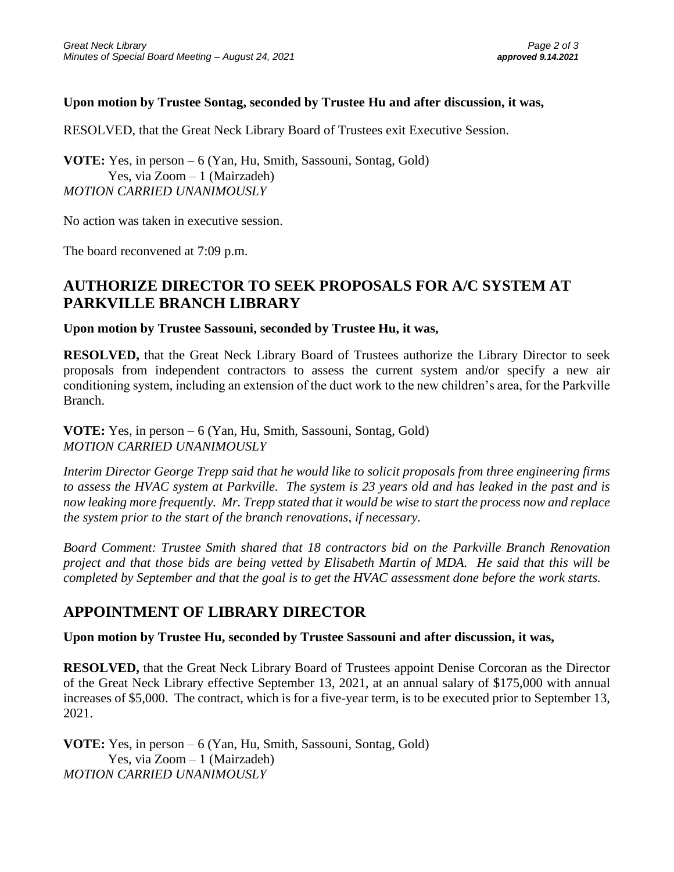#### **Upon motion by Trustee Sontag, seconded by Trustee Hu and after discussion, it was,**

RESOLVED, that the Great Neck Library Board of Trustees exit Executive Session.

**VOTE:** Yes, in person – 6 (Yan, Hu, Smith, Sassouni, Sontag, Gold) Yes, via Zoom – 1 (Mairzadeh) *MOTION CARRIED UNANIMOUSLY*

No action was taken in executive session.

The board reconvened at 7:09 p.m.

### **AUTHORIZE DIRECTOR TO SEEK PROPOSALS FOR A/C SYSTEM AT PARKVILLE BRANCH LIBRARY**

**Upon motion by Trustee Sassouni, seconded by Trustee Hu, it was,**

**RESOLVED,** that the Great Neck Library Board of Trustees authorize the Library Director to seek proposals from independent contractors to assess the current system and/or specify a new air conditioning system, including an extension of the duct work to the new children's area, for the Parkville Branch.

**VOTE:** Yes, in person – 6 (Yan, Hu, Smith, Sassouni, Sontag, Gold) *MOTION CARRIED UNANIMOUSLY*

*Interim Director George Trepp said that he would like to solicit proposals from three engineering firms to assess the HVAC system at Parkville. The system is 23 years old and has leaked in the past and is now leaking more frequently. Mr. Trepp stated that it would be wise to start the process now and replace the system prior to the start of the branch renovations, if necessary.*

*Board Comment: Trustee Smith shared that 18 contractors bid on the Parkville Branch Renovation project and that those bids are being vetted by Elisabeth Martin of MDA. He said that this will be completed by September and that the goal is to get the HVAC assessment done before the work starts.* 

### **APPOINTMENT OF LIBRARY DIRECTOR**

**Upon motion by Trustee Hu, seconded by Trustee Sassouni and after discussion, it was,**

**RESOLVED,** that the Great Neck Library Board of Trustees appoint Denise Corcoran as the Director of the Great Neck Library effective September 13, 2021, at an annual salary of \$175,000 with annual increases of \$5,000. The contract, which is for a five-year term, is to be executed prior to September 13, 2021.

**VOTE:** Yes, in person – 6 (Yan, Hu, Smith, Sassouni, Sontag, Gold) Yes, via Zoom – 1 (Mairzadeh) *MOTION CARRIED UNANIMOUSLY*